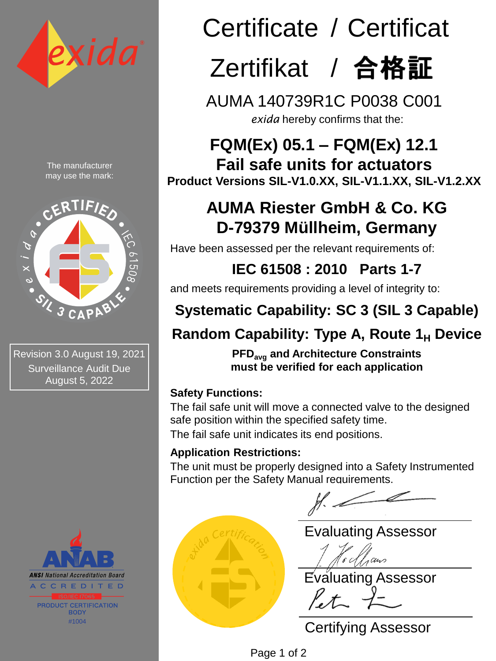

The manufacturer may use the mark:



Revision 3.0 August 19, 2021 Surveillance Audit Due August 5, 2022



# Certificate / Certificat  $Z$ ertifikat / 合格証

AUMA 140739R1C P0038 C001 *exida* hereby confirms that the:

**FQM(Ex) 05.1 – FQM(Ex) 12.1 Fail safe units for actuators Product Versions SIL-V1.0.XX, SIL-V1.1.XX, SIL-V1.2.XX**

### **AUMA Riester GmbH & Co. KG D-79379 Müllheim, Germany**

Have been assessed per the relevant requirements of:

**IEC 61508 : 2010 Parts 1-7** 

and meets requirements providing a level of integrity to:

## **Systematic Capability: SC 3 (SIL 3 Capable)**

### **Random Capability: Type A, Route 1<sup>H</sup> Device**

**PFDavg and Architecture Constraints must be verified for each application**

### **Safety Functions:**

The fail safe unit will move a connected valve to the designed safe position within the specified safety time.

The fail safe unit indicates its end positions.

### **Application Restrictions:**

Place embossed seal here for originals, lining it up at the bottom

The unit must be properly designed into a Safety Instrumented Function per the Safety Manual requirements.

Evaluating Assessor

Evaluating Assessor  $P_{\epsilon}\tau_{\sim}$ 

Certifying Assessor

Page 1 of 2